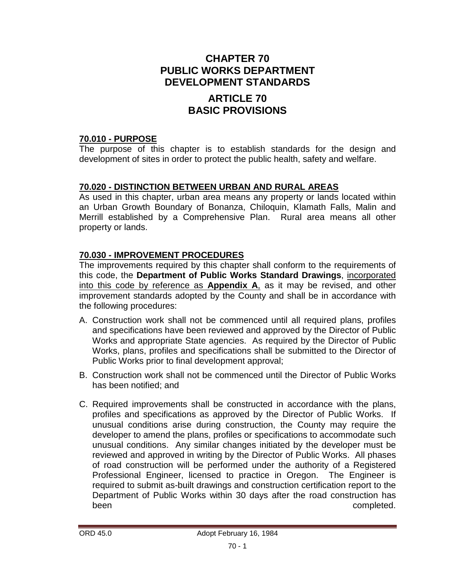## **CHAPTER 70 PUBLIC WORKS DEPARTMENT DEVELOPMENT STANDARDS**

## **ARTICLE 70 BASIC PROVISIONS**

### **70.010 - PURPOSE**

The purpose of this chapter is to establish standards for the design and development of sites in order to protect the public health, safety and welfare.

### **70.020 - DISTINCTION BETWEEN URBAN AND RURAL AREAS**

As used in this chapter, urban area means any property or lands located within an Urban Growth Boundary of Bonanza, Chiloquin, Klamath Falls, Malin and Merrill established by a Comprehensive Plan. Rural area means all other property or lands.

### **70.030 - IMPROVEMENT PROCEDURES**

The improvements required by this chapter shall conform to the requirements of this code, the **Department of Public Works Standard Drawings**, incorporated into this code by reference as **Appendix A**, as it may be revised, and other improvement standards adopted by the County and shall be in accordance with the following procedures:

- A. Construction work shall not be commenced until all required plans, profiles and specifications have been reviewed and approved by the Director of Public Works and appropriate State agencies. As required by the Director of Public Works, plans, profiles and specifications shall be submitted to the Director of Public Works prior to final development approval;
- B. Construction work shall not be commenced until the Director of Public Works has been notified; and
- C. Required improvements shall be constructed in accordance with the plans, profiles and specifications as approved by the Director of Public Works. If unusual conditions arise during construction, the County may require the developer to amend the plans, profiles or specifications to accommodate such unusual conditions. Any similar changes initiated by the developer must be reviewed and approved in writing by the Director of Public Works. All phases of road construction will be performed under the authority of a Registered Professional Engineer, licensed to practice in Oregon. The Engineer is required to submit as-built drawings and construction certification report to the Department of Public Works within 30 days after the road construction has been completed.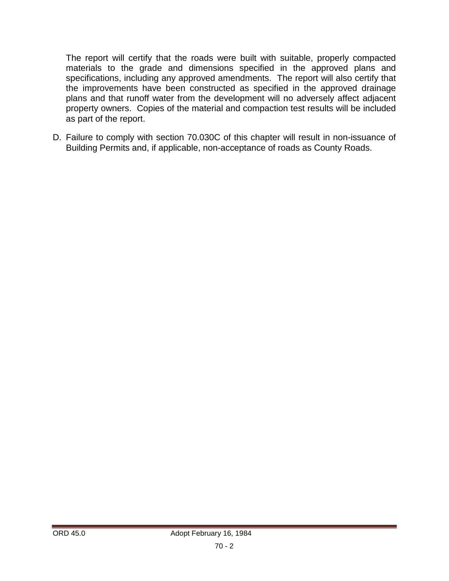The report will certify that the roads were built with suitable, properly compacted materials to the grade and dimensions specified in the approved plans and specifications, including any approved amendments. The report will also certify that the improvements have been constructed as specified in the approved drainage plans and that runoff water from the development will no adversely affect adjacent property owners. Copies of the material and compaction test results will be included as part of the report.

D. Failure to comply with section 70.030C of this chapter will result in non-issuance of Building Permits and, if applicable, non-acceptance of roads as County Roads.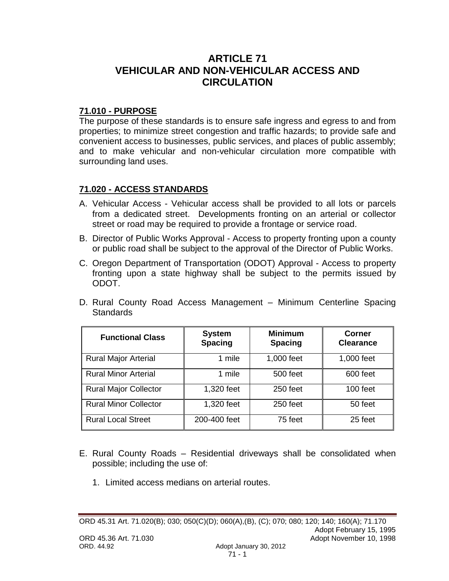## **ARTICLE 71 VEHICULAR AND NON-VEHICULAR ACCESS AND CIRCULATION**

### **71.010 - PURPOSE**

The purpose of these standards is to ensure safe ingress and egress to and from properties; to minimize street congestion and traffic hazards; to provide safe and convenient access to businesses, public services, and places of public assembly; and to make vehicular and non-vehicular circulation more compatible with surrounding land uses.

### **71.020 - ACCESS STANDARDS**

- A. Vehicular Access Vehicular access shall be provided to all lots or parcels from a dedicated street. Developments fronting on an arterial or collector street or road may be required to provide a frontage or service road.
- B. Director of Public Works Approval Access to property fronting upon a county or public road shall be subject to the approval of the Director of Public Works.
- C. Oregon Department of Transportation (ODOT) Approval Access to property fronting upon a state highway shall be subject to the permits issued by ODOT.
- D. Rural County Road Access Management Minimum Centerline Spacing **Standards**

| <b>Functional Class</b>      | <b>System</b><br><b>Spacing</b> | <b>Minimum</b><br><b>Spacing</b> | Corner<br><b>Clearance</b> |
|------------------------------|---------------------------------|----------------------------------|----------------------------|
| <b>Rural Major Arterial</b>  | 1 mile                          | 1,000 feet                       | 1,000 feet                 |
| <b>Rural Minor Arterial</b>  | 1 mile                          | 500 feet                         | 600 feet                   |
| <b>Rural Major Collector</b> | 1,320 feet                      | 250 feet                         | 100 feet                   |
| <b>Rural Minor Collector</b> | 1,320 feet                      | 250 feet                         | 50 feet                    |
| <b>Rural Local Street</b>    | 200-400 feet                    | 75 feet                          | 25 feet                    |

- E. Rural County Roads Residential driveways shall be consolidated when possible; including the use of:
	- 1. Limited access medians on arterial routes.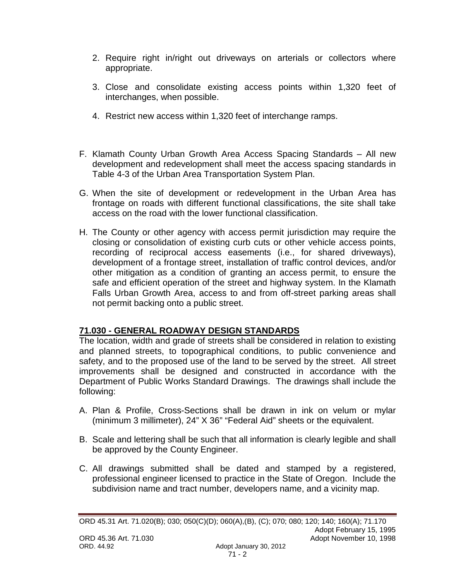- 2. Require right in/right out driveways on arterials or collectors where appropriate.
- 3. Close and consolidate existing access points within 1,320 feet of interchanges, when possible.
- 4. Restrict new access within 1,320 feet of interchange ramps.
- F. Klamath County Urban Growth Area Access Spacing Standards All new development and redevelopment shall meet the access spacing standards in Table 4-3 of the Urban Area Transportation System Plan.
- G. When the site of development or redevelopment in the Urban Area has frontage on roads with different functional classifications, the site shall take access on the road with the lower functional classification.
- H. The County or other agency with access permit jurisdiction may require the closing or consolidation of existing curb cuts or other vehicle access points, recording of reciprocal access easements (i.e., for shared driveways), development of a frontage street, installation of traffic control devices, and/or other mitigation as a condition of granting an access permit, to ensure the safe and efficient operation of the street and highway system. In the Klamath Falls Urban Growth Area, access to and from off-street parking areas shall not permit backing onto a public street.

## **71.030 - GENERAL ROADWAY DESIGN STANDARDS**

The location, width and grade of streets shall be considered in relation to existing and planned streets, to topographical conditions, to public convenience and safety, and to the proposed use of the land to be served by the street. All street improvements shall be designed and constructed in accordance with the Department of Public Works Standard Drawings. The drawings shall include the following:

- A. Plan & Profile, Cross-Sections shall be drawn in ink on velum or mylar (minimum 3 millimeter), 24" X 36" "Federal Aid" sheets or the equivalent.
- B. Scale and lettering shall be such that all information is clearly legible and shall be approved by the County Engineer.
- C. All drawings submitted shall be dated and stamped by a registered, professional engineer licensed to practice in the State of Oregon. Include the subdivision name and tract number, developers name, and a vicinity map.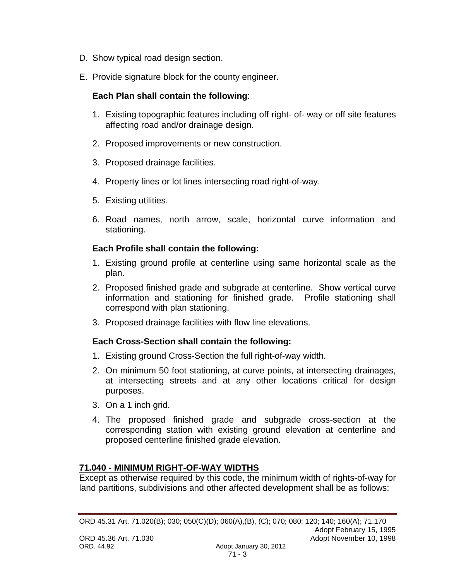- D. Show typical road design section.
- E. Provide signature block for the county engineer.

### **Each Plan shall contain the following**:

- 1. Existing topographic features including off right- of- way or off site features affecting road and/or drainage design.
- 2. Proposed improvements or new construction.
- 3. Proposed drainage facilities.
- 4. Property lines or lot lines intersecting road right-of-way.
- 5. Existing utilities.
- 6. Road names, north arrow, scale, horizontal curve information and stationing.

#### **Each Profile shall contain the following:**

- 1. Existing ground profile at centerline using same horizontal scale as the plan.
- 2. Proposed finished grade and subgrade at centerline. Show vertical curve information and stationing for finished grade. Profile stationing shall correspond with plan stationing.
- 3. Proposed drainage facilities with flow line elevations.

### **Each Cross-Section shall contain the following:**

- 1. Existing ground Cross-Section the full right-of-way width.
- 2. On minimum 50 foot stationing, at curve points, at intersecting drainages, at intersecting streets and at any other locations critical for design purposes.
- 3. On a 1 inch grid.
- 4. The proposed finished grade and subgrade cross-section at the corresponding station with existing ground elevation at centerline and proposed centerline finished grade elevation.

### **71.040 - MINIMUM RIGHT-OF-WAY WIDTHS**

Except as otherwise required by this code, the minimum width of rights-of-way for land partitions, subdivisions and other affected development shall be as follows: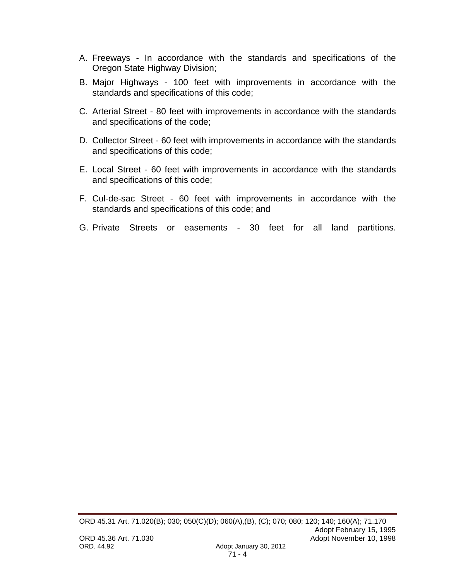- A. Freeways In accordance with the standards and specifications of the Oregon State Highway Division;
- B. Major Highways 100 feet with improvements in accordance with the standards and specifications of this code;
- C. Arterial Street 80 feet with improvements in accordance with the standards and specifications of the code;
- D. Collector Street 60 feet with improvements in accordance with the standards and specifications of this code;
- E. Local Street 60 feet with improvements in accordance with the standards and specifications of this code;
- F. Cul-de-sac Street 60 feet with improvements in accordance with the standards and specifications of this code; and
- G. Private Streets or easements 30 feet for all land partitions.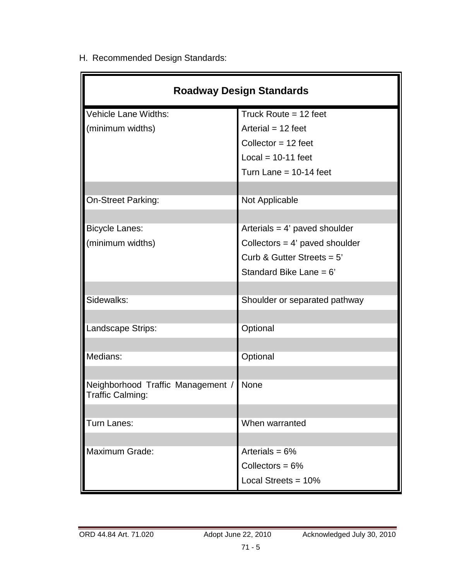H. Recommended Design Standards:

| <b>Roadway Design Standards</b>                       |                                  |  |  |
|-------------------------------------------------------|----------------------------------|--|--|
| Vehicle Lane Widths:                                  | Truck Route $= 12$ feet          |  |  |
| (minimum widths)                                      | Arterial = $12$ feet             |  |  |
|                                                       | Collector = $12$ feet            |  |  |
|                                                       | $Local = 10-11 feet$             |  |  |
|                                                       | Turn Lane = $10-14$ feet         |  |  |
|                                                       |                                  |  |  |
| On-Street Parking:                                    | Not Applicable                   |  |  |
|                                                       |                                  |  |  |
| <b>Bicycle Lanes:</b>                                 | Arterials $= 4'$ paved shoulder  |  |  |
| (minimum widths)                                      | Collectors = $4'$ paved shoulder |  |  |
|                                                       | Curb & Gutter Streets = $5'$     |  |  |
|                                                       | Standard Bike Lane = 6'          |  |  |
|                                                       |                                  |  |  |
| Sidewalks:                                            | Shoulder or separated pathway    |  |  |
|                                                       |                                  |  |  |
| Landscape Strips:                                     | Optional                         |  |  |
|                                                       |                                  |  |  |
| Medians:                                              | Optional                         |  |  |
|                                                       |                                  |  |  |
| Neighborhood Traffic Management /<br>Traffic Calming: | None                             |  |  |
|                                                       |                                  |  |  |
| Turn Lanes:                                           | When warranted                   |  |  |
|                                                       |                                  |  |  |
| Maximum Grade:                                        | Arterials = $6\%$                |  |  |
|                                                       | Collectors = $6\%$               |  |  |
|                                                       | Local Streets = $10\%$           |  |  |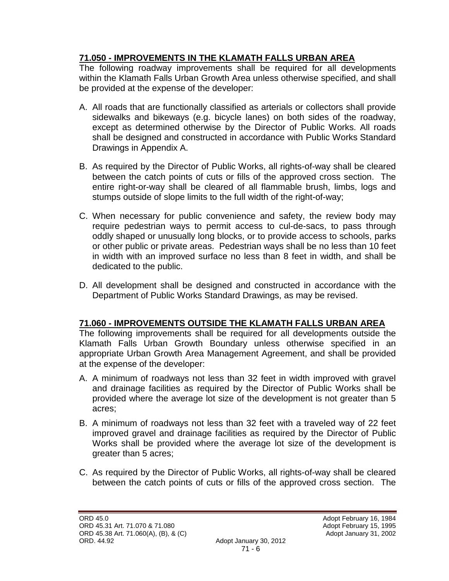## **71.050 - IMPROVEMENTS IN THE KLAMATH FALLS URBAN AREA**

The following roadway improvements shall be required for all developments within the Klamath Falls Urban Growth Area unless otherwise specified, and shall be provided at the expense of the developer:

- A. All roads that are functionally classified as arterials or collectors shall provide sidewalks and bikeways (e.g. bicycle lanes) on both sides of the roadway, except as determined otherwise by the Director of Public Works. All roads shall be designed and constructed in accordance with Public Works Standard Drawings in Appendix A.
- B. As required by the Director of Public Works, all rights-of-way shall be cleared between the catch points of cuts or fills of the approved cross section. The entire right-or-way shall be cleared of all flammable brush, limbs, logs and stumps outside of slope limits to the full width of the right-of-way;
- C. When necessary for public convenience and safety, the review body may require pedestrian ways to permit access to cul-de-sacs, to pass through oddly shaped or unusually long blocks, or to provide access to schools, parks or other public or private areas. Pedestrian ways shall be no less than 10 feet in width with an improved surface no less than 8 feet in width, and shall be dedicated to the public.
- D. All development shall be designed and constructed in accordance with the Department of Public Works Standard Drawings, as may be revised.

## **71.060 - IMPROVEMENTS OUTSIDE THE KLAMATH FALLS URBAN AREA**

The following improvements shall be required for all developments outside the Klamath Falls Urban Growth Boundary unless otherwise specified in an appropriate Urban Growth Area Management Agreement, and shall be provided at the expense of the developer:

- A. A minimum of roadways not less than 32 feet in width improved with gravel and drainage facilities as required by the Director of Public Works shall be provided where the average lot size of the development is not greater than 5 acres;
- B. A minimum of roadways not less than 32 feet with a traveled way of 22 feet improved gravel and drainage facilities as required by the Director of Public Works shall be provided where the average lot size of the development is greater than 5 acres;
- C. As required by the Director of Public Works, all rights-of-way shall be cleared between the catch points of cuts or fills of the approved cross section. The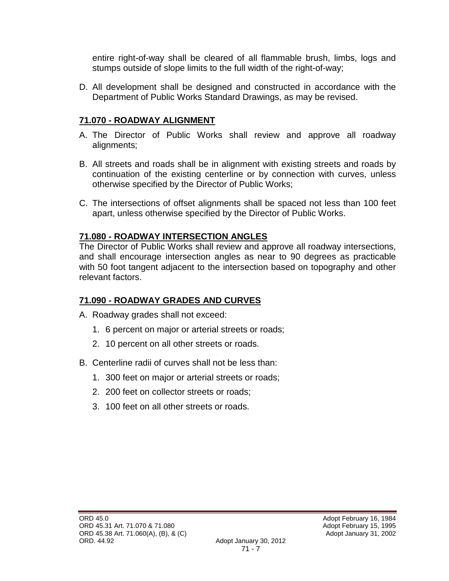entire right-of-way shall be cleared of all flammable brush, limbs, logs and stumps outside of slope limits to the full width of the right-of-way;

D. All development shall be designed and constructed in accordance with the Department of Public Works Standard Drawings, as may be revised.

## **71.070 - ROADWAY ALIGNMENT**

- A. The Director of Public Works shall review and approve all roadway alignments;
- B. All streets and roads shall be in alignment with existing streets and roads by continuation of the existing centerline or by connection with curves, unless otherwise specified by the Director of Public Works;
- C. The intersections of offset alignments shall be spaced not less than 100 feet apart, unless otherwise specified by the Director of Public Works.

## **71.080 - ROADWAY INTERSECTION ANGLES**

The Director of Public Works shall review and approve all roadway intersections, and shall encourage intersection angles as near to 90 degrees as practicable with 50 foot tangent adjacent to the intersection based on topography and other relevant factors.

## **71.090 - ROADWAY GRADES AND CURVES**

- A. Roadway grades shall not exceed:
	- 1. 6 percent on major or arterial streets or roads;
	- 2. 10 percent on all other streets or roads.
- B. Centerline radii of curves shall not be less than:
	- 1. 300 feet on major or arterial streets or roads;
	- 2. 200 feet on collector streets or roads;
	- 3. 100 feet on all other streets or roads.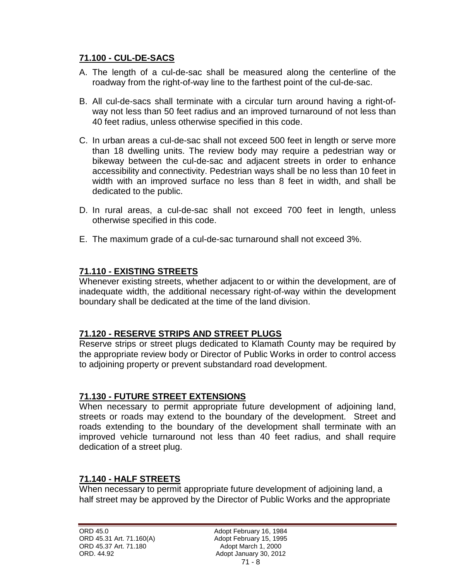### **71.100 - CUL-DE-SACS**

- A. The length of a cul-de-sac shall be measured along the centerline of the roadway from the right-of-way line to the farthest point of the cul-de-sac.
- B. All cul-de-sacs shall terminate with a circular turn around having a right-ofway not less than 50 feet radius and an improved turnaround of not less than 40 feet radius, unless otherwise specified in this code.
- C. In urban areas a cul-de-sac shall not exceed 500 feet in length or serve more than 18 dwelling units. The review body may require a pedestrian way or bikeway between the cul-de-sac and adjacent streets in order to enhance accessibility and connectivity. Pedestrian ways shall be no less than 10 feet in width with an improved surface no less than 8 feet in width, and shall be dedicated to the public.
- D. In rural areas, a cul-de-sac shall not exceed 700 feet in length, unless otherwise specified in this code.
- E. The maximum grade of a cul-de-sac turnaround shall not exceed 3%.

### **71.110 - EXISTING STREETS**

Whenever existing streets, whether adjacent to or within the development, are of inadequate width, the additional necessary right-of-way within the development boundary shall be dedicated at the time of the land division.

### **71.120 - RESERVE STRIPS AND STREET PLUGS**

Reserve strips or street plugs dedicated to Klamath County may be required by the appropriate review body or Director of Public Works in order to control access to adjoining property or prevent substandard road development.

### **71.130 - FUTURE STREET EXTENSIONS**

When necessary to permit appropriate future development of adjoining land, streets or roads may extend to the boundary of the development. Street and roads extending to the boundary of the development shall terminate with an improved vehicle turnaround not less than 40 feet radius, and shall require dedication of a street plug.

### **71.140 - HALF STREETS**

When necessary to permit appropriate future development of adjoining land, a half street may be approved by the Director of Public Works and the appropriate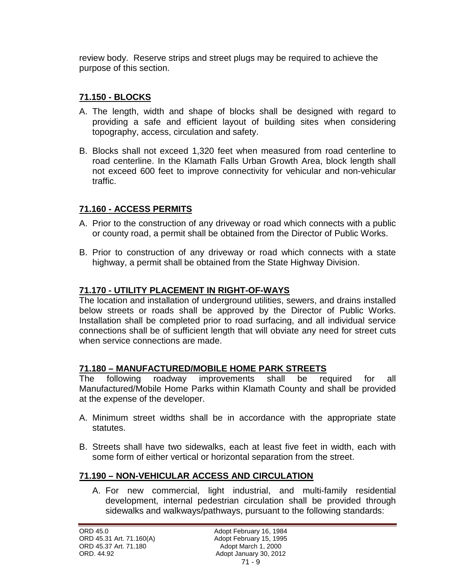review body. Reserve strips and street plugs may be required to achieve the purpose of this section.

## **71.150 - BLOCKS**

- A. The length, width and shape of blocks shall be designed with regard to providing a safe and efficient layout of building sites when considering topography, access, circulation and safety.
- B. Blocks shall not exceed 1,320 feet when measured from road centerline to road centerline. In the Klamath Falls Urban Growth Area, block length shall not exceed 600 feet to improve connectivity for vehicular and non-vehicular traffic.

## **71.160 - ACCESS PERMITS**

- A. Prior to the construction of any driveway or road which connects with a public or county road, a permit shall be obtained from the Director of Public Works.
- B. Prior to construction of any driveway or road which connects with a state highway, a permit shall be obtained from the State Highway Division.

## **71.170 - UTILITY PLACEMENT IN RIGHT-OF-WAYS**

The location and installation of underground utilities, sewers, and drains installed below streets or roads shall be approved by the Director of Public Works. Installation shall be completed prior to road surfacing, and all individual service connections shall be of sufficient length that will obviate any need for street cuts when service connections are made.

## **71.180 – MANUFACTURED/MOBILE HOME PARK STREETS**

The following roadway improvements shall be required for all Manufactured/Mobile Home Parks within Klamath County and shall be provided at the expense of the developer.

- A. Minimum street widths shall be in accordance with the appropriate state statutes.
- B. Streets shall have two sidewalks, each at least five feet in width, each with some form of either vertical or horizontal separation from the street.

## **71.190 – NON-VEHICULAR ACCESS AND CIRCULATION**

A. For new commercial, light industrial, and multi-family residential development, internal pedestrian circulation shall be provided through sidewalks and walkways/pathways, pursuant to the following standards: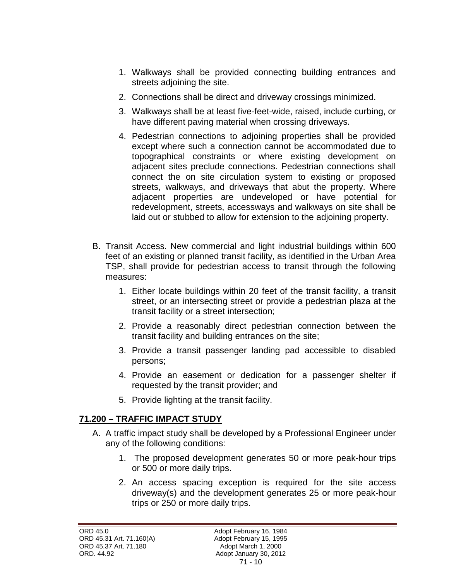- 1. Walkways shall be provided connecting building entrances and streets adjoining the site.
- 2. Connections shall be direct and driveway crossings minimized.
- 3. Walkways shall be at least five-feet-wide, raised, include curbing, or have different paving material when crossing driveways.
- 4. Pedestrian connections to adjoining properties shall be provided except where such a connection cannot be accommodated due to topographical constraints or where existing development on adjacent sites preclude connections. Pedestrian connections shall connect the on site circulation system to existing or proposed streets, walkways, and driveways that abut the property. Where adjacent properties are undeveloped or have potential for redevelopment, streets, accessways and walkways on site shall be laid out or stubbed to allow for extension to the adjoining property.
- B. Transit Access. New commercial and light industrial buildings within 600 feet of an existing or planned transit facility, as identified in the Urban Area TSP, shall provide for pedestrian access to transit through the following measures:
	- 1. Either locate buildings within 20 feet of the transit facility, a transit street, or an intersecting street or provide a pedestrian plaza at the transit facility or a street intersection;
	- 2. Provide a reasonably direct pedestrian connection between the transit facility and building entrances on the site;
	- 3. Provide a transit passenger landing pad accessible to disabled persons;
	- 4. Provide an easement or dedication for a passenger shelter if requested by the transit provider; and
	- 5. Provide lighting at the transit facility.

## **71.200 – TRAFFIC IMPACT STUDY**

- A. A traffic impact study shall be developed by a Professional Engineer under any of the following conditions:
	- 1. The proposed development generates 50 or more peak-hour trips or 500 or more daily trips.
	- 2. An access spacing exception is required for the site access driveway(s) and the development generates 25 or more peak-hour trips or 250 or more daily trips.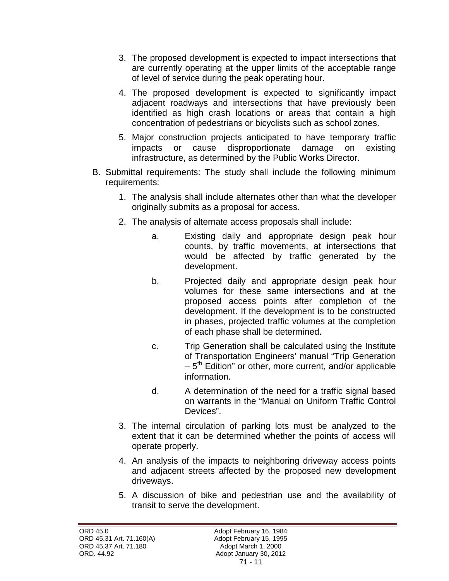- 3. The proposed development is expected to impact intersections that are currently operating at the upper limits of the acceptable range of level of service during the peak operating hour.
- 4. The proposed development is expected to significantly impact adjacent roadways and intersections that have previously been identified as high crash locations or areas that contain a high concentration of pedestrians or bicyclists such as school zones.
- 5. Major construction projects anticipated to have temporary traffic impacts or cause disproportionate damage on existing infrastructure, as determined by the Public Works Director.
- B. Submittal requirements: The study shall include the following minimum requirements:
	- 1. The analysis shall include alternates other than what the developer originally submits as a proposal for access.
	- 2. The analysis of alternate access proposals shall include:
		- a. Existing daily and appropriate design peak hour counts, by traffic movements, at intersections that would be affected by traffic generated by the development.
		- b. Projected daily and appropriate design peak hour volumes for these same intersections and at the proposed access points after completion of the development. If the development is to be constructed in phases, projected traffic volumes at the completion of each phase shall be determined.
		- c. Trip Generation shall be calculated using the Institute of Transportation Engineers' manual "Trip Generation  $-5<sup>th</sup>$  Edition" or other, more current, and/or applicable information.
		- d. A determination of the need for a traffic signal based on warrants in the "Manual on Uniform Traffic Control Devices".
	- 3. The internal circulation of parking lots must be analyzed to the extent that it can be determined whether the points of access will operate properly.
	- 4. An analysis of the impacts to neighboring driveway access points and adjacent streets affected by the proposed new development driveways.
	- 5. A discussion of bike and pedestrian use and the availability of transit to serve the development.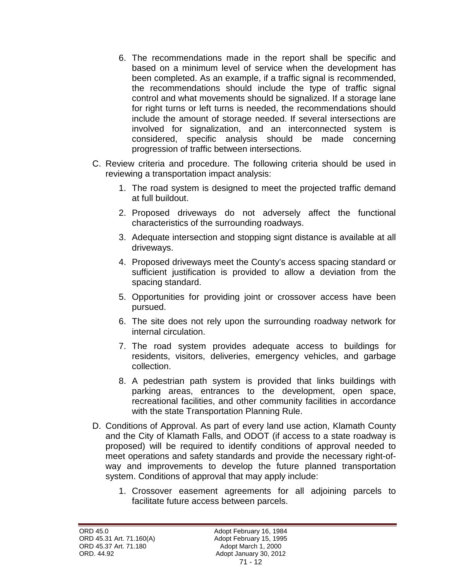- 6. The recommendations made in the report shall be specific and based on a minimum level of service when the development has been completed. As an example, if a traffic signal is recommended, the recommendations should include the type of traffic signal control and what movements should be signalized. If a storage lane for right turns or left turns is needed, the recommendations should include the amount of storage needed. If several intersections are involved for signalization, and an interconnected system is considered, specific analysis should be made concerning progression of traffic between intersections.
- C. Review criteria and procedure. The following criteria should be used in reviewing a transportation impact analysis:
	- 1. The road system is designed to meet the projected traffic demand at full buildout.
	- 2. Proposed driveways do not adversely affect the functional characteristics of the surrounding roadways.
	- 3. Adequate intersection and stopping signt distance is available at all driveways.
	- 4. Proposed driveways meet the County's access spacing standard or sufficient justification is provided to allow a deviation from the spacing standard.
	- 5. Opportunities for providing joint or crossover access have been pursued.
	- 6. The site does not rely upon the surrounding roadway network for internal circulation.
	- 7. The road system provides adequate access to buildings for residents, visitors, deliveries, emergency vehicles, and garbage collection.
	- 8. A pedestrian path system is provided that links buildings with parking areas, entrances to the development, open space, recreational facilities, and other community facilities in accordance with the state Transportation Planning Rule.
- D. Conditions of Approval. As part of every land use action, Klamath County and the City of Klamath Falls, and ODOT (if access to a state roadway is proposed) will be required to identify conditions of approval needed to meet operations and safety standards and provide the necessary right-ofway and improvements to develop the future planned transportation system. Conditions of approval that may apply include:
	- 1. Crossover easement agreements for all adjoining parcels to facilitate future access between parcels.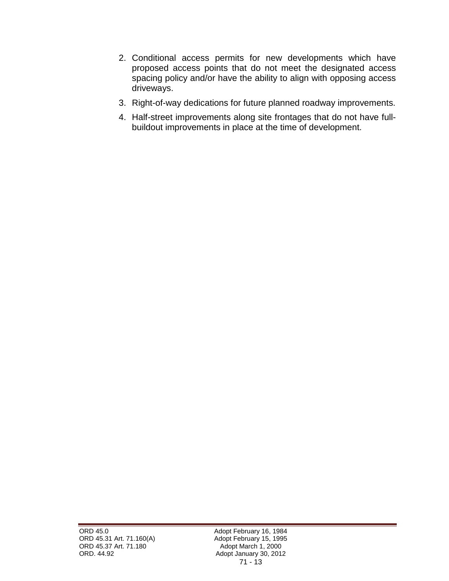- 2. Conditional access permits for new developments which have proposed access points that do not meet the designated access spacing policy and/or have the ability to align with opposing access driveways.
- 3. Right-of-way dedications for future planned roadway improvements.
- 4. Half-street improvements along site frontages that do not have fullbuildout improvements in place at the time of development.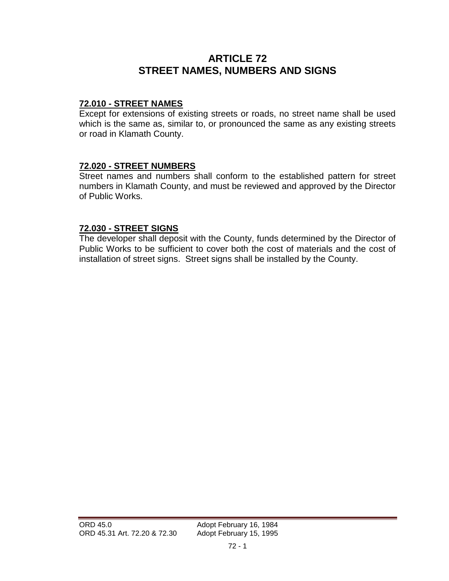# **ARTICLE 72 STREET NAMES, NUMBERS AND SIGNS**

### **72.010 - STREET NAMES**

Except for extensions of existing streets or roads, no street name shall be used which is the same as, similar to, or pronounced the same as any existing streets or road in Klamath County.

#### **72.020 - STREET NUMBERS**

Street names and numbers shall conform to the established pattern for street numbers in Klamath County, and must be reviewed and approved by the Director of Public Works.

#### **72.030 - STREET SIGNS**

The developer shall deposit with the County, funds determined by the Director of Public Works to be sufficient to cover both the cost of materials and the cost of installation of street signs. Street signs shall be installed by the County.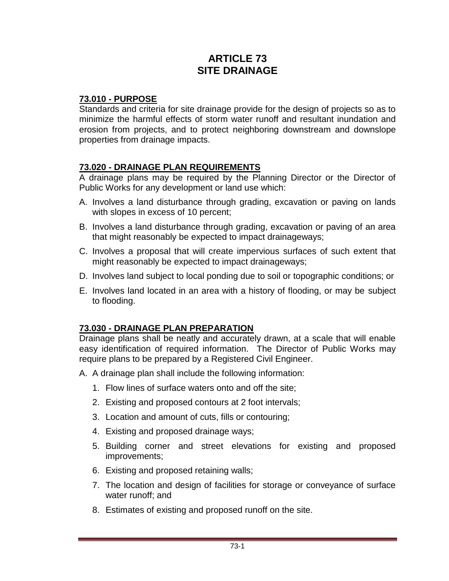# **ARTICLE 73 SITE DRAINAGE**

## **73.010 - PURPOSE**

Standards and criteria for site drainage provide for the design of projects so as to minimize the harmful effects of storm water runoff and resultant inundation and erosion from projects, and to protect neighboring downstream and downslope properties from drainage impacts.

### **73.020 - DRAINAGE PLAN REQUIREMENTS**

A drainage plans may be required by the Planning Director or the Director of Public Works for any development or land use which:

- A. Involves a land disturbance through grading, excavation or paving on lands with slopes in excess of 10 percent;
- B. Involves a land disturbance through grading, excavation or paving of an area that might reasonably be expected to impact drainageways;
- C. Involves a proposal that will create impervious surfaces of such extent that might reasonably be expected to impact drainageways;
- D. Involves land subject to local ponding due to soil or topographic conditions; or
- E. Involves land located in an area with a history of flooding, or may be subject to flooding.

## **73.030 - DRAINAGE PLAN PREPARATION**

Drainage plans shall be neatly and accurately drawn, at a scale that will enable easy identification of required information. The Director of Public Works may require plans to be prepared by a Registered Civil Engineer.

- A. A drainage plan shall include the following information:
	- 1. Flow lines of surface waters onto and off the site;
	- 2. Existing and proposed contours at 2 foot intervals;
	- 3. Location and amount of cuts, fills or contouring;
	- 4. Existing and proposed drainage ways;
	- 5. Building corner and street elevations for existing and proposed improvements;
	- 6. Existing and proposed retaining walls;
	- 7. The location and design of facilities for storage or conveyance of surface water runoff; and
	- 8. Estimates of existing and proposed runoff on the site.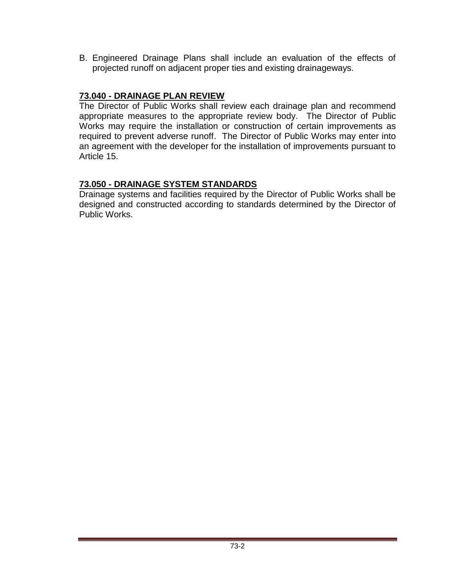B. Engineered Drainage Plans shall include an evaluation of the effects of projected runoff on adjacent proper ties and existing drainageways.

## **73.040 - DRAINAGE PLAN REVIEW**

The Director of Public Works shall review each drainage plan and recommend appropriate measures to the appropriate review body. The Director of Public Works may require the installation or construction of certain improvements as required to prevent adverse runoff. The Director of Public Works may enter into an agreement with the developer for the installation of improvements pursuant to Article 15.

### **73.050 - DRAINAGE SYSTEM STANDARDS**

Drainage systems and facilities required by the Director of Public Works shall be designed and constructed according to standards determined by the Director of Public Works.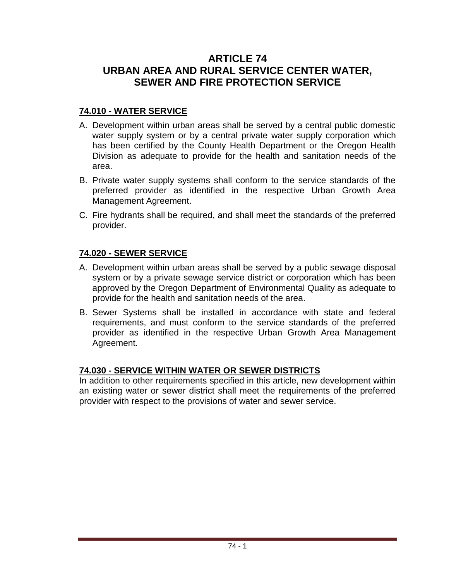# **ARTICLE 74 URBAN AREA AND RURAL SERVICE CENTER WATER, SEWER AND FIRE PROTECTION SERVICE**

## **74.010 - WATER SERVICE**

- A. Development within urban areas shall be served by a central public domestic water supply system or by a central private water supply corporation which has been certified by the County Health Department or the Oregon Health Division as adequate to provide for the health and sanitation needs of the area.
- B. Private water supply systems shall conform to the service standards of the preferred provider as identified in the respective Urban Growth Area Management Agreement.
- C. Fire hydrants shall be required, and shall meet the standards of the preferred provider.

## **74.020 - SEWER SERVICE**

- A. Development within urban areas shall be served by a public sewage disposal system or by a private sewage service district or corporation which has been approved by the Oregon Department of Environmental Quality as adequate to provide for the health and sanitation needs of the area.
- B. Sewer Systems shall be installed in accordance with state and federal requirements, and must conform to the service standards of the preferred provider as identified in the respective Urban Growth Area Management Agreement.

## **74.030 - SERVICE WITHIN WATER OR SEWER DISTRICTS**

In addition to other requirements specified in this article, new development within an existing water or sewer district shall meet the requirements of the preferred provider with respect to the provisions of water and sewer service.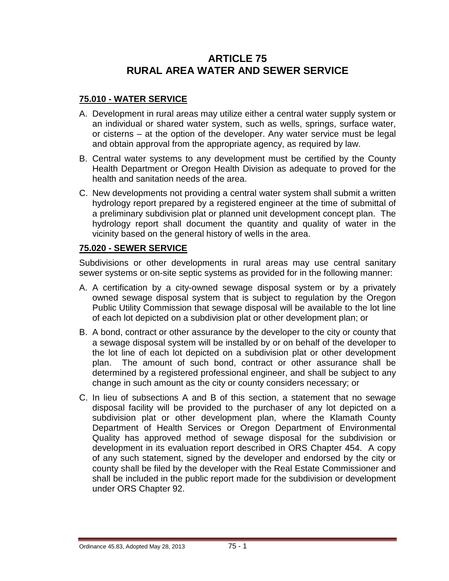# **ARTICLE 75 RURAL AREA WATER AND SEWER SERVICE**

## **75.010 - WATER SERVICE**

- A. Development in rural areas may utilize either a central water supply system or an individual or shared water system, such as wells, springs, surface water, or cisterns – at the option of the developer. Any water service must be legal and obtain approval from the appropriate agency, as required by law.
- B. Central water systems to any development must be certified by the County Health Department or Oregon Health Division as adequate to proved for the health and sanitation needs of the area.
- C. New developments not providing a central water system shall submit a written hydrology report prepared by a registered engineer at the time of submittal of a preliminary subdivision plat or planned unit development concept plan. The hydrology report shall document the quantity and quality of water in the vicinity based on the general history of wells in the area.

#### **75.020 - SEWER SERVICE**

Subdivisions or other developments in rural areas may use central sanitary sewer systems or on-site septic systems as provided for in the following manner:

- A. A certification by a city-owned sewage disposal system or by a privately owned sewage disposal system that is subject to regulation by the Oregon Public Utility Commission that sewage disposal will be available to the lot line of each lot depicted on a subdivision plat or other development plan; or
- B. A bond, contract or other assurance by the developer to the city or county that a sewage disposal system will be installed by or on behalf of the developer to the lot line of each lot depicted on a subdivision plat or other development plan. The amount of such bond, contract or other assurance shall be determined by a registered professional engineer, and shall be subject to any change in such amount as the city or county considers necessary; or
- C. In lieu of subsections A and B of this section, a statement that no sewage disposal facility will be provided to the purchaser of any lot depicted on a subdivision plat or other development plan, where the Klamath County Department of Health Services or Oregon Department of Environmental Quality has approved method of sewage disposal for the subdivision or development in its evaluation report described in ORS Chapter 454. A copy of any such statement, signed by the developer and endorsed by the city or county shall be filed by the developer with the Real Estate Commissioner and shall be included in the public report made for the subdivision or development under ORS Chapter 92.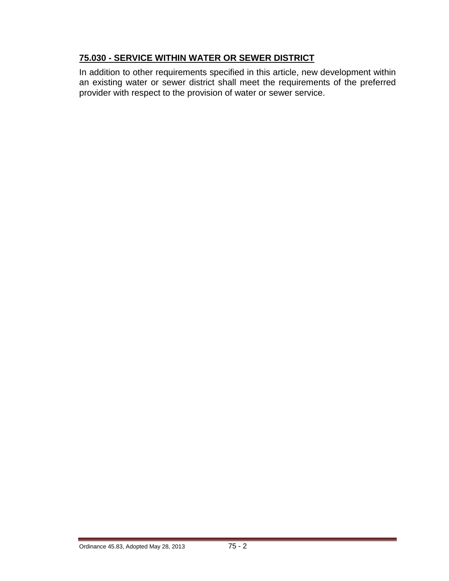## **75.030 - SERVICE WITHIN WATER OR SEWER DISTRICT**

In addition to other requirements specified in this article, new development within an existing water or sewer district shall meet the requirements of the preferred provider with respect to the provision of water or sewer service.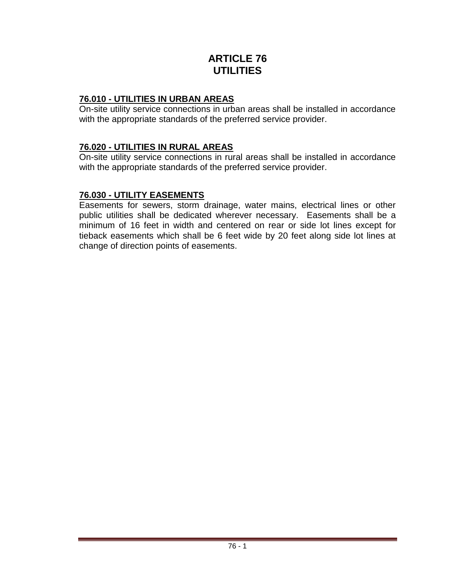# **ARTICLE 76 UTILITIES**

## **76.010 - UTILITIES IN URBAN AREAS**

On-site utility service connections in urban areas shall be installed in accordance with the appropriate standards of the preferred service provider.

## **76.020 - UTILITIES IN RURAL AREAS**

On-site utility service connections in rural areas shall be installed in accordance with the appropriate standards of the preferred service provider.

### **76.030 - UTILITY EASEMENTS**

Easements for sewers, storm drainage, water mains, electrical lines or other public utilities shall be dedicated wherever necessary. Easements shall be a minimum of 16 feet in width and centered on rear or side lot lines except for tieback easements which shall be 6 feet wide by 20 feet along side lot lines at change of direction points of easements.